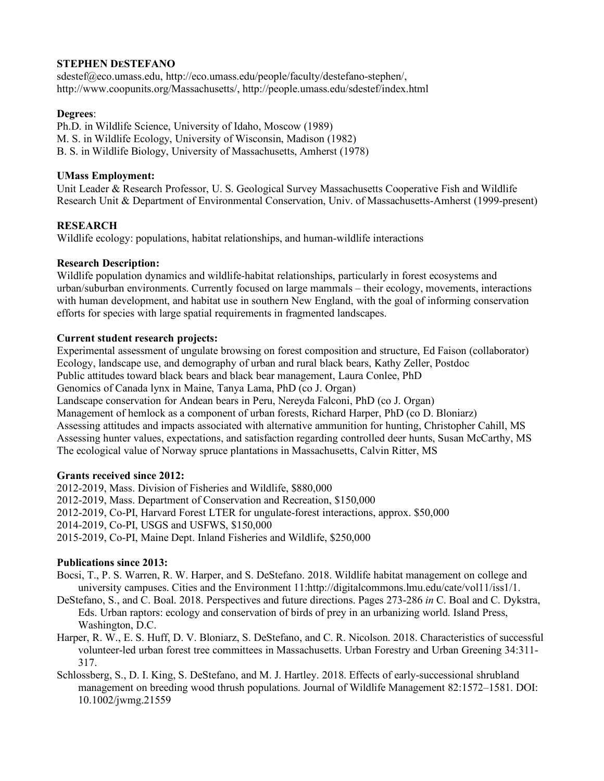#### **STEPHEN DESTEFANO**

sdestef@eco.umass.edu, http://eco.umass.edu/people/faculty/destefano-stephen/, http://www.coopunits.org/Massachusetts/, http://people.umass.edu/sdestef/index.html

### **Degrees**:

Ph.D. in Wildlife Science, University of Idaho, Moscow (1989) M. S. in Wildlife Ecology, University of Wisconsin, Madison (1982) B. S. in Wildlife Biology, University of Massachusetts, Amherst (1978)

## **UMass Employment:**

Unit Leader & Research Professor, U. S. Geological Survey Massachusetts Cooperative Fish and Wildlife Research Unit & Department of Environmental Conservation, Univ. of Massachusetts-Amherst (1999-present)

# **RESEARCH**

Wildlife ecology: populations, habitat relationships, and human-wildlife interactions

## **Research Description:**

Wildlife population dynamics and wildlife-habitat relationships, particularly in forest ecosystems and urban/suburban environments. Currently focused on large mammals – their ecology, movements, interactions with human development, and habitat use in southern New England, with the goal of informing conservation efforts for species with large spatial requirements in fragmented landscapes.

## **Current student research projects:**

Experimental assessment of ungulate browsing on forest composition and structure, Ed Faison (collaborator) Ecology, landscape use, and demography of urban and rural black bears, Kathy Zeller, Postdoc Public attitudes toward black bears and black bear management, Laura Conlee, PhD Genomics of Canada lynx in Maine, Tanya Lama, PhD (co J. Organ) Landscape conservation for Andean bears in Peru, Nereyda Falconi, PhD (co J. Organ) Management of hemlock as a component of urban forests, Richard Harper, PhD (co D. Bloniarz) Assessing attitudes and impacts associated with alternative ammunition for hunting, Christopher Cahill, MS Assessing hunter values, expectations, and satisfaction regarding controlled deer hunts, Susan McCarthy, MS The ecological value of Norway spruce plantations in Massachusetts, Calvin Ritter, MS

#### **Grants received since 2012:**

2012-2019, Mass. Division of Fisheries and Wildlife, \$880,000 2012-2019, Mass. Department of Conservation and Recreation, \$150,000 2012-2019, Co-PI, Harvard Forest LTER for ungulate-forest interactions, approx. \$50,000 2014-2019, Co-PI, USGS and USFWS, \$150,000 2015-2019, Co-PI, Maine Dept. Inland Fisheries and Wildlife, \$250,000

#### **Publications since 2013:**

Bocsi, T., P. S. Warren, R. W. Harper, and S. DeStefano. 2018. Wildlife habitat management on college and university campuses. Cities and the Environment 11:http://digitalcommons.lmu.edu/cate/vol11/iss1/1.

- DeStefano, S., and C. Boal. 2018. Perspectives and future directions. Pages 273-286 *in* C. Boal and C. Dykstra, Eds. Urban raptors: ecology and conservation of birds of prey in an urbanizing world. Island Press, Washington, D.C.
- Harper, R. W., E. S. Huff, D. V. Bloniarz, S. DeStefano, and C. R. Nicolson. 2018. Characteristics of successful volunteer-led urban forest tree committees in Massachusetts. Urban Forestry and Urban Greening 34:311- 317.
- Schlossberg, S., D. I. King, S. DeStefano, and M. J. Hartley. 2018. Effects of early-successional shrubland management on breeding wood thrush populations. Journal of Wildlife Management 82:1572–1581. DOI: 10.1002/jwmg.21559